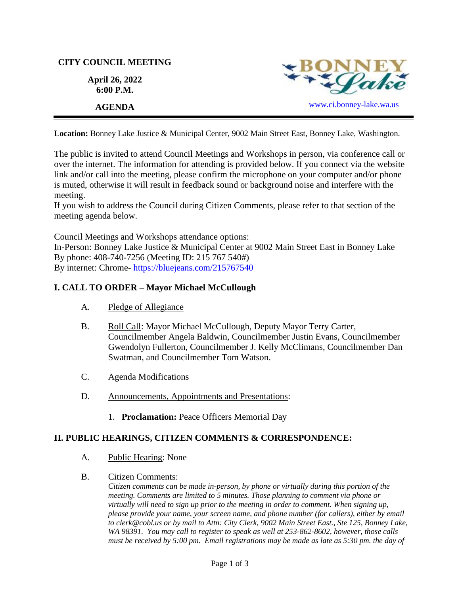## **CITY COUNCIL MEETING**

**April 26, 2022 6:00 P.M.**



**Location:** Bonney Lake Justice & Municipal Center, 9002 Main Street East, Bonney Lake, Washington.

The public is invited to attend Council Meetings and Workshops in person, via conference call or over the internet. The information for attending is provided below. If you connect via the website link and/or call into the meeting, please confirm the microphone on your computer and/or phone is muted, otherwise it will result in feedback sound or background noise and interfere with the meeting.

If you wish to address the Council during Citizen Comments, please refer to that section of the meeting agenda below.

Council Meetings and Workshops attendance options:

In-Person: Bonney Lake Justice & Municipal Center at 9002 Main Street East in Bonney Lake By phone: 408-740-7256 (Meeting ID: 215 767 540#) By internet: Chrome- [https://bluejeans.com/215767540](https://bluejeans.com/215767540?src=calendarLink&flow=joinmeeting)

# **I. CALL TO ORDER – Mayor Michael McCullough**

- A. Pledge of Allegiance
- B. Roll Call: Mayor Michael McCullough, Deputy Mayor Terry Carter, Councilmember Angela Baldwin, Councilmember Justin Evans, Councilmember Gwendolyn Fullerton, Councilmember J. Kelly McClimans, Councilmember Dan Swatman, and Councilmember Tom Watson.
- C. Agenda Modifications
- D. Announcements, Appointments and Presentations:
	- 1. **Proclamation:** Peace Officers Memorial Day

# **II. PUBLIC HEARINGS, CITIZEN COMMENTS & CORRESPONDENCE:**

- A. Public Hearing: None
- B. Citizen Comments:

*Citizen comments can be made in-person, by phone or virtually during this portion of the meeting. Comments are limited to 5 minutes. Those planning to comment via phone or virtually will need to sign up prior to the meeting in order to comment. When signing up, please provide your name, your screen name, and phone number (for callers), either by email to clerk@cobl.us or by mail to Attn: City Clerk, 9002 Main Street East., Ste 125, Bonney Lake, WA 98391. You may call to register to speak as well at 253-862-8602, however, those calls must be received by 5:00 pm. Email registrations may be made as late as 5:30 pm. the day of*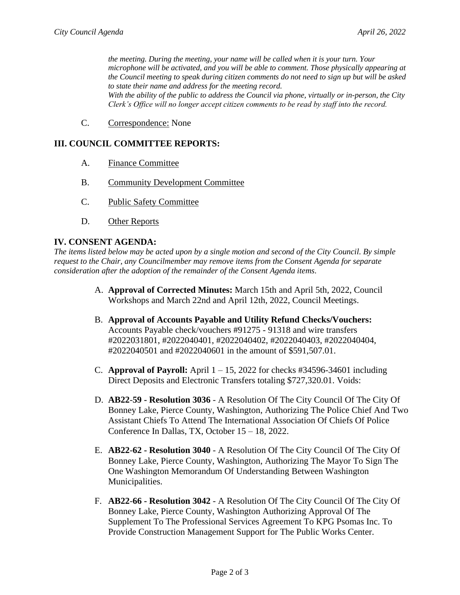*the meeting. During the meeting, your name will be called when it is your turn. Your microphone will be activated, and you will be able to comment. Those physically appearing at the Council meeting to speak during citizen comments do not need to sign up but will be asked to state their name and address for the meeting record. With the ability of the public to address the Council via phone, virtually or in-person, the City Clerk's Office will no longer accept citizen comments to be read by staff into the record.*

C. Correspondence: None

#### **III. COUNCIL COMMITTEE REPORTS:**

- A. Finance Committee
- B. Community Development Committee
- C. Public Safety Committee
- D. Other Reports

#### **IV. CONSENT AGENDA:**

*The items listed below may be acted upon by a single motion and second of the City Council. By simple request to the Chair, any Councilmember may remove items from the Consent Agenda for separate consideration after the adoption of the remainder of the Consent Agenda items.*

- A. **Approval of Corrected Minutes:** March 15th and April 5th, 2022, Council Workshops and March 22nd and April 12th, 2022, Council Meetings.
- B. **Approval of Accounts Payable and Utility Refund Checks/Vouchers:** Accounts Payable check/vouchers #91275 - 91318 and wire transfers #2022031801, #2022040401, #2022040402, #2022040403, #2022040404, #2022040501 and #2022040601 in the amount of \$591,507.01.
- C. **Approval of Payroll:** April 1 15, 2022 for checks #34596-34601 including Direct Deposits and Electronic Transfers totaling \$727,320.01. Voids:
- D. **AB22**-**59 - Resolution 3036** A Resolution Of The City Council Of The City Of Bonney Lake, Pierce County, Washington, Authorizing The Police Chief And Two Assistant Chiefs To Attend The International Association Of Chiefs Of Police Conference In Dallas, TX, October 15 – 18, 2022.
- E. **AB22**-**62 - Resolution 3040** A Resolution Of The City Council Of The City Of Bonney Lake, Pierce County, Washington, Authorizing The Mayor To Sign The One Washington Memorandum Of Understanding Between Washington Municipalities.
- F. **AB22**-**66 - Resolution 3042** A Resolution Of The City Council Of The City Of Bonney Lake, Pierce County, Washington Authorizing Approval Of The Supplement To The Professional Services Agreement To KPG Psomas Inc. To Provide Construction Management Support for The Public Works Center.